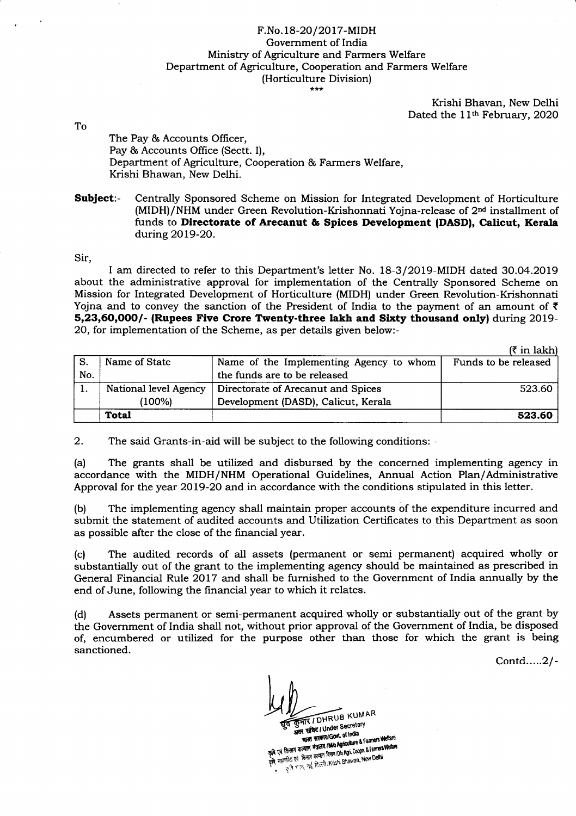## F.No.18-20/2017-MIDH Government of India Ministry of Agriculture and Farmers Welfare Department of Agriculture, Cooperation and Farmers Welfare (Horticulture Division)

Krishi Bhavan, New Delhi Dated the 11<sup>th</sup> February, 2020

To

The Pay & Accounts Officer, Pay & Accounts Office (Sectt. I), Department of Agriculture, Cooperation & Farmers Welfare, Krishi Bhawan, New Delhi.

Subject:- Centrally Sponsored Scheme on Mission for Integrated Development of Horticulture (MIDH)/NHM under Green Revolution-Krishonnati Yojna-release of 2<sup>nd</sup> installment of funds to Directorate of Arecanut & Spices Development (DASD|, Calicut, Kerala during 2Ol9-2O.

Sir,

I am directed to refer to this Department's letter No. 18-3/20l9-MIDH dated 30.04.2019 about the administrative approval for implementation of the Centrally Sponsored Scheme on Mission for Integrated Development of Horticulture (MIDH) under Green Revolution-Krishonnati Yojna and to convey the sanction of the President of India to the payment of an amount of  $\bar{\tau}$ 5,23,60,0OO/- (Rupees Five Crore Twenty-three lakh and Sixty thousand only) during 2OL9- 20, for implementation of the Scheme, as per details given below:-

|     |                       |                                         | $(7$ in lakh)        |
|-----|-----------------------|-----------------------------------------|----------------------|
| -S. | Name of State         | Name of the Implementing Agency to whom | Funds to be released |
| No. |                       | the funds are to be released            |                      |
|     | National level Agency | Directorate of Arecanut and Spices      | 523.60               |
|     | (100%)                | Development (DASD), Calicut, Kerala     |                      |
|     | <b>Total</b>          |                                         | 523.60               |

2. The said Grants-in-aid will be subject to the following conditions: -

(a) The grants shall be utilized and disbursed by the concerned implementing agency in accordance with the MIDH/NHM Operational Guidelines, Annual Action Plan/Administrative Approval for the year 2Ol9-2O and in accordance with the conditions stipulated in this letter.

(b) The implementing agency shall maintain proper accounts of the expenditure incurred and submit the statement of audited accounts and Utilization Certificates to this Department as soon as possible after the close of the financial year.

(c) The audited records of all assets (permanent or semi perrnanent) acquired wholly or substantially out of the grant to the implementing agency should be maintained as prescribed in General Financial Rule 2017 and shall be furnished to the Government of India annually by the end of June, following the financial year to which it relates.

(d) Assets pennanent or semi-permanent acquired wholly or substantially out of the grant by the Government of India shall not, without prior approval of the Government of India, be disposed of, encumbered or utilized for the purpose other than those for which the grant is being sanctioned.

Contd.....2l-

**THE / DHRUB KUMAR** अवर सचिद / Under Secretary

व साचद । Orioci of India<br>भारत सरकार। Govt. of India SHOW THE STOCK Of India<br>THE STATE STATE IN ON DISCUSSION OF A Farmers Welfare<br>The Gramma State IN ONE COOPLE State States Welfare<br>And The The State State Rentri (Dio Agri, Coople, Land Delhi MANY THING A SERIES SERIES SERIES SERIES SERIES SERIES SERIES AND AGRICULTURE & Farmers Welfare<br>कृषि एवं किसान करवाण मेन्नालय शिक्षाप 100 Agi, Coopt. & Farmers Welfare<br>कृषि, सहकारिता एवं किसान करवाण HKrishi Bhawan, New Del f किसीन परस्ता :<br>हकारिता एवं किसीन कल्याण विभाग/Dio Agri. Coopic a remain<br>- दुःखि बहस्त नई दिल्ली /Krishi Bhawan, New Delhi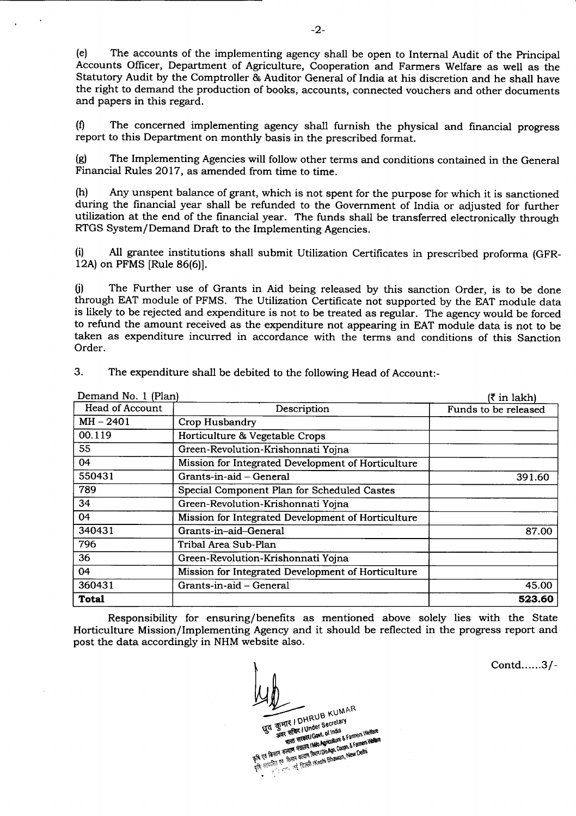(e) The accounts of the implementing agency shall be open to Internal Audit of the Principat Accounts Oflicer, Department of Agriculture, Cooperation and Farmers Welfare as well as the Statutory Audit by the Comptroller & Auditor General of India at his discretion and he shall have the right to demand the production of books, accounts, connected vouchers and other documents and papers in this regard.

(0 The concerned implementing agency shall furnish the physical and financial progress report to this Department on monthly basis in the prescribed format.

(g) The Implementing Agencies will follow other terms and conditions contained in the General Financial Rules 2017, as amended from time to time.

(h) Any unspent balance of grant, which is not spent for the purpose for which it is sanctioned during the financial year shall be refunded to the Government of India or adjusted for further utilization at the end of the financial year. The funds shall be transferred electronically through RTGS System/Demand Draft to the Implementing Agencies.

(i) All grantee institutions shall submit Utilization Certificates in prescribed proforma (GFR-12A) on PFMS [Rule 86(6)].

ti) The Further use of Grants in Aid being released by this sanction Order, is to be done through EAT module of PFMS. The Utilization Certificate not supported by the EAT module data is likely to be rejected and expenditure is not to be treated as regular. The agency would be forced to refund the amount received as the expenditure not appearing in EAT module data is not to be taken as expenditure incurred in accordance with the terms and conditions of this Sanction Order.

| Demand No. 1 (Plan)    |                                                    | (₹ in lakh)          |
|------------------------|----------------------------------------------------|----------------------|
| <b>Head of Account</b> | Description                                        | Funds to be released |
| $MH - 2401$            | Crop Husbandry                                     |                      |
| 00.119                 | Horticulture & Vegetable Crops                     |                      |
| 55                     | Green-Revolution-Krishonnati Yojna                 |                      |
| 04                     | Mission for Integrated Development of Horticulture |                      |
| 550431                 | Grants-in-aid – General                            | 391.60               |
| 789                    | Special Component Plan for Scheduled Castes        |                      |
| 34                     | Green-Revolution-Krishonnati Yojna                 |                      |
| 04                     | Mission for Integrated Development of Horticulture |                      |
| 340431                 | Grants-in-aid-General                              | 87.00                |
| 796                    | Tribal Area Sub-Plan                               |                      |
| 36                     | Green-Revolution-Krishonnati Yojna                 |                      |
| 04                     | Mission for Integrated Development of Horticulture |                      |
| 360431                 | Grants-in-aid - General                            | 45.00                |
| Total                  |                                                    | 523.60               |

3. The expenditure shall be debited to the following Head of Account:-

Responsibility for ensuring/benefits as mentioned above solely lies with the State Horticulture Mission/Implementing Agency and it should be reflected in the progress report and post the data accordingly in NHM website also.

B KUMAR Secretary

of little & Farmers Welland <sub>rt</sub> Redi Kish get\$ .<br>Mg

Contd......3/-